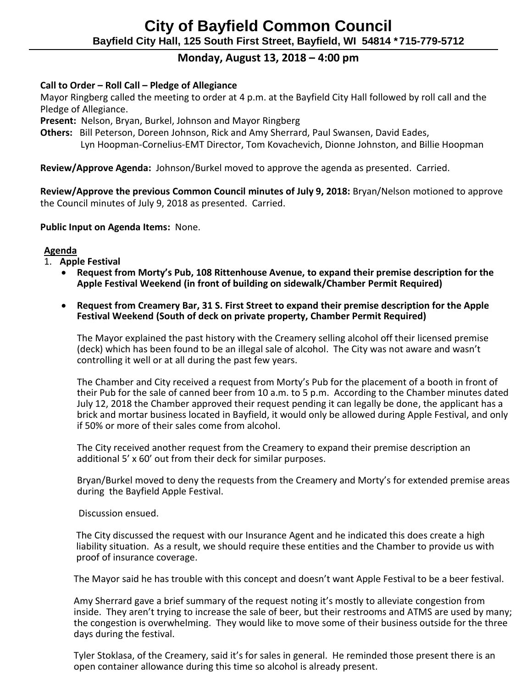# **Monday, August 13, 2018 – 4:00 pm**

### **Call to Order – Roll Call – Pledge of Allegiance**

 Mayor Ringberg called the meeting to order at 4 p.m. at the Bayfield City Hall followed by roll call and the Pledge of Allegiance.

 **Present:** Nelson, Bryan, Burkel, Johnson and Mayor Ringberg

 **Others:** Bill Peterson, Doreen Johnson, Rick and Amy Sherrard, Paul Swansen, David Eades, Lyn Hoopman-Cornelius-EMT Director, Tom Kovachevich, Dionne Johnston, and Billie Hoopman

**Review/Approve Agenda:** Johnson/Burkel moved to approve the agenda as presented. Carried.

 **Review/Approve the previous Common Council minutes of July 9, 2018:** Bryan/Nelson motioned to approve the Council minutes of July 9, 2018 as presented. Carried.

#### **Public Input on Agenda Items:** None.

#### **Agenda**

- 1. **Apple Festival** 
	- **Request from Morty's Pub, 108 Rittenhouse Avenue, to expand their premise description for the Apple Festival Weekend (in front of building on sidewalk/Chamber Permit Required)**
	- **Request from Creamery Bar, 31 S. First Street to expand their premise description for the Apple Festival Weekend (South of deck on private property, Chamber Permit Required)**

The Mayor explained the past history with the Creamery selling alcohol off their licensed premise (deck) which has been found to be an illegal sale of alcohol. The City was not aware and wasn't controlling it well or at all during the past few years.

The Chamber and City received a request from Morty's Pub for the placement of a booth in front of their Pub for the sale of canned beer from 10 a.m. to 5 p.m. According to the Chamber minutes dated July 12, 2018 the Chamber approved their request pending it can legally be done, the applicant has a brick and mortar business located in Bayfield, it would only be allowed during Apple Festival, and only if 50% or more of their sales come from alcohol.

The City received another request from the Creamery to expand their premise description an additional 5' x 60' out from their deck for similar purposes.

Bryan/Burkel moved to deny the requests from the Creamery and Morty's for extended premise areas during the Bayfield Apple Festival.

Discussion ensued.

 The City discussed the request with our Insurance Agent and he indicated this does create a high liability situation. As a result, we should require these entities and the Chamber to provide us with proof of insurance coverage.

The Mayor said he has trouble with this concept and doesn't want Apple Festival to be a beer festival.

Amy Sherrard gave a brief summary of the request noting it's mostly to alleviate congestion from inside. They aren't trying to increase the sale of beer, but their restrooms and ATMS are used by many; the congestion is overwhelming. They would like to move some of their business outside for the three days during the festival.

Tyler Stoklasa, of the Creamery, said it's for sales in general. He reminded those present there is an open container allowance during this time so alcohol is already present.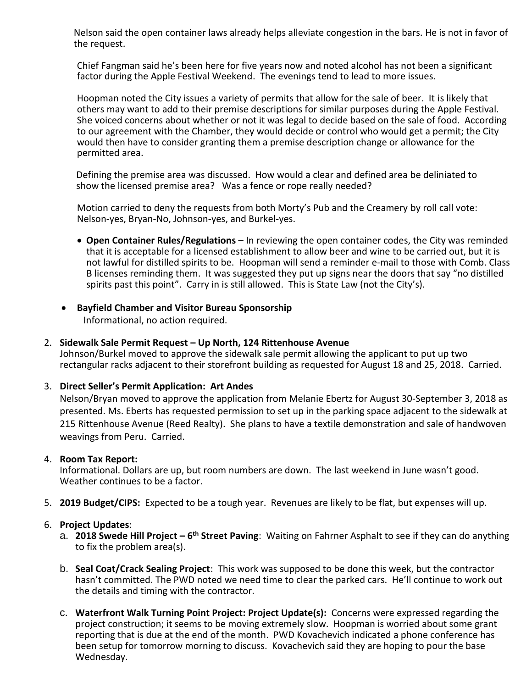Nelson said the open container laws already helps alleviate congestion in the bars. He is not in favor of the request.

Chief Fangman said he's been here for five years now and noted alcohol has not been a significant factor during the Apple Festival Weekend. The evenings tend to lead to more issues.

Hoopman noted the City issues a variety of permits that allow for the sale of beer. It is likely that others may want to add to their premise descriptions for similar purposes during the Apple Festival. She voiced concerns about whether or not it was legal to decide based on the sale of food. According to our agreement with the Chamber, they would decide or control who would get a permit; the City would then have to consider granting them a premise description change or allowance for the permitted area.

 Defining the premise area was discussed. How would a clear and defined area be deliniated to show the licensed premise area? Was a fence or rope really needed?

Motion carried to deny the requests from both Morty's Pub and the Creamery by roll call vote: Nelson-yes, Bryan-No, Johnson-yes, and Burkel-yes.

- **Open Container Rules/Regulations** In reviewing the open container codes, the City was reminded that it is acceptable for a licensed establishment to allow beer and wine to be carried out, but it is not lawful for distilled spirits to be. Hoopman will send a reminder e-mail to those with Comb. Class B licenses reminding them. It was suggested they put up signs near the doors that say "no distilled spirits past this point". Carry in is still allowed. This is State Law (not the City's).
- **Bayfield Chamber and Visitor Bureau Sponsorship**  Informational, no action required.
- 2. **Sidewalk Sale Permit Request – Up North, 124 Rittenhouse Avenue**

Johnson/Burkel moved to approve the sidewalk sale permit allowing the applicant to put up two rectangular racks adjacent to their storefront building as requested for August 18 and 25, 2018. Carried.

#### 3. **Direct Seller's Permit Application: Art Andes**

Nelson/Bryan moved to approve the application from Melanie Ebertz for August 30-September 3, 2018 as presented. Ms. Eberts has requested permission to set up in the parking space adjacent to the sidewalk at 215 Rittenhouse Avenue (Reed Realty). She plans to have a textile demonstration and sale of handwoven weavings from Peru. Carried.

#### 4. **Room Tax Report:**

Informational. Dollars are up, but room numbers are down. The last weekend in June wasn't good. Weather continues to be a factor.

5. **2019 Budget/CIPS:** Expected to be a tough year. Revenues are likely to be flat, but expenses will up.

#### 6. **Project Updates**:

- a. **2018 Swede Hill Project – 6 th Street Paving**: Waiting on Fahrner Asphalt to see if they can do anything to fix the problem area(s).
- b. **Seal Coat/Crack Sealing Project**: This work was supposed to be done this week, but the contractor hasn't committed. The PWD noted we need time to clear the parked cars. He'll continue to work out the details and timing with the contractor.
- c. **Waterfront Walk Turning Point Project: Project Update(s):** Concerns were expressed regarding the project construction; it seems to be moving extremely slow. Hoopman is worried about some grant reporting that is due at the end of the month. PWD Kovachevich indicated a phone conference has been setup for tomorrow morning to discuss. Kovachevich said they are hoping to pour the base Wednesday.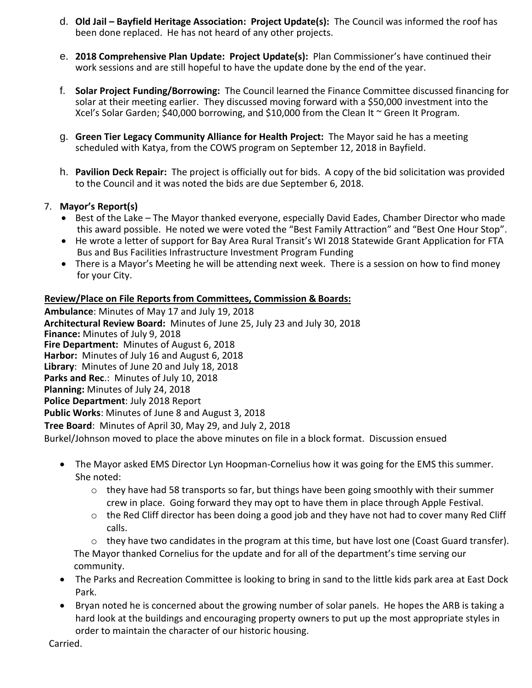- d. **Old Jail – Bayfield Heritage Association: Project Update(s):** The Council was informed the roof has been done replaced. He has not heard of any other projects.
- e. **2018 Comprehensive Plan Update: Project Update(s):** Plan Commissioner's have continued their work sessions and are still hopeful to have the update done by the end of the year.
- f. **Solar Project Funding/Borrowing:** The Council learned the Finance Committee discussed financing for solar at their meeting earlier. They discussed moving forward with a \$50,000 investment into the Xcel's Solar Garden; \$40,000 borrowing, and \$10,000 from the Clean It ~ Green It Program.
- g. **Green Tier Legacy Community Alliance for Health Project:** The Mayor said he has a meeting scheduled with Katya, from the COWS program on September 12, 2018 in Bayfield.
- h. **Pavilion Deck Repair:** The project is officially out for bids. A copy of the bid solicitation was provided to the Council and it was noted the bids are due September 6, 2018.

# 7. **Mayor's Report(s)**

- Best of the Lake The Mayor thanked everyone, especially David Eades, Chamber Director who made this award possible. He noted we were voted the "Best Family Attraction" and "Best One Hour Stop".
- He wrote a letter of support for Bay Area Rural Transit's WI 2018 Statewide Grant Application for FTA Bus and Bus Facilities Infrastructure Investment Program Funding
- There is a Mayor's Meeting he will be attending next week. There is a session on how to find money for your City.

### **Review/Place on File Reports from Committees, Commission & Boards:**

**Ambulance**: Minutes of May 17 and July 19, 2018 **Architectural Review Board:** Minutes of June 25, July 23 and July 30, 2018 **Finance:** Minutes of July 9, 2018 **Fire Department:** Minutes of August 6, 2018 **Harbor:** Minutes of July 16 and August 6, 2018 **Library**: Minutes of June 20 and July 18, 2018 **Parks and Rec**.: Minutes of July 10, 2018 **Planning:** Minutes of July 24, 2018 **Police Department**: July 2018 Report **Public Works**: Minutes of June 8 and August 3, 2018 **Tree Board**: Minutes of April 30, May 29, and July 2, 2018 Burkel/Johnson moved to place the above minutes on file in a block format. Discussion ensued

- The Mayor asked EMS Director Lyn Hoopman-Cornelius how it was going for the EMS this summer. She noted:
	- $\circ$  they have had 58 transports so far, but things have been going smoothly with their summer crew in place. Going forward they may opt to have them in place through Apple Festival.
	- $\circ$  the Red Cliff director has been doing a good job and they have not had to cover many Red Cliff calls.

 $\circ$  they have two candidates in the program at this time, but have lost one (Coast Guard transfer). The Mayor thanked Cornelius for the update and for all of the department's time serving our community.

- The Parks and Recreation Committee is looking to bring in sand to the little kids park area at East Dock Park.
- Bryan noted he is concerned about the growing number of solar panels. He hopes the ARB is taking a hard look at the buildings and encouraging property owners to put up the most appropriate styles in order to maintain the character of our historic housing.

Carried.